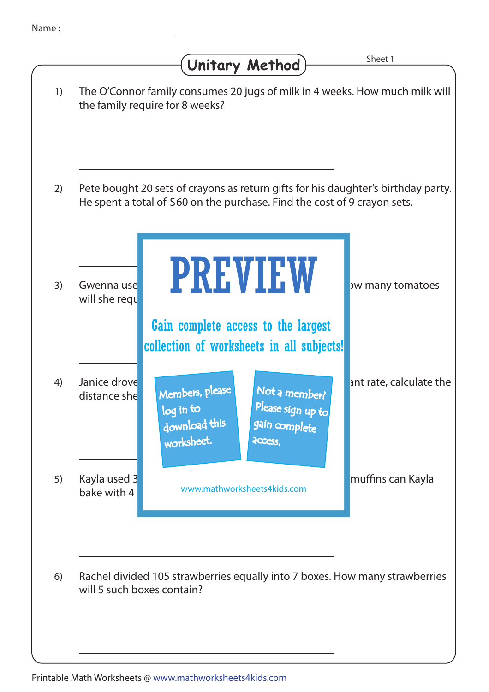